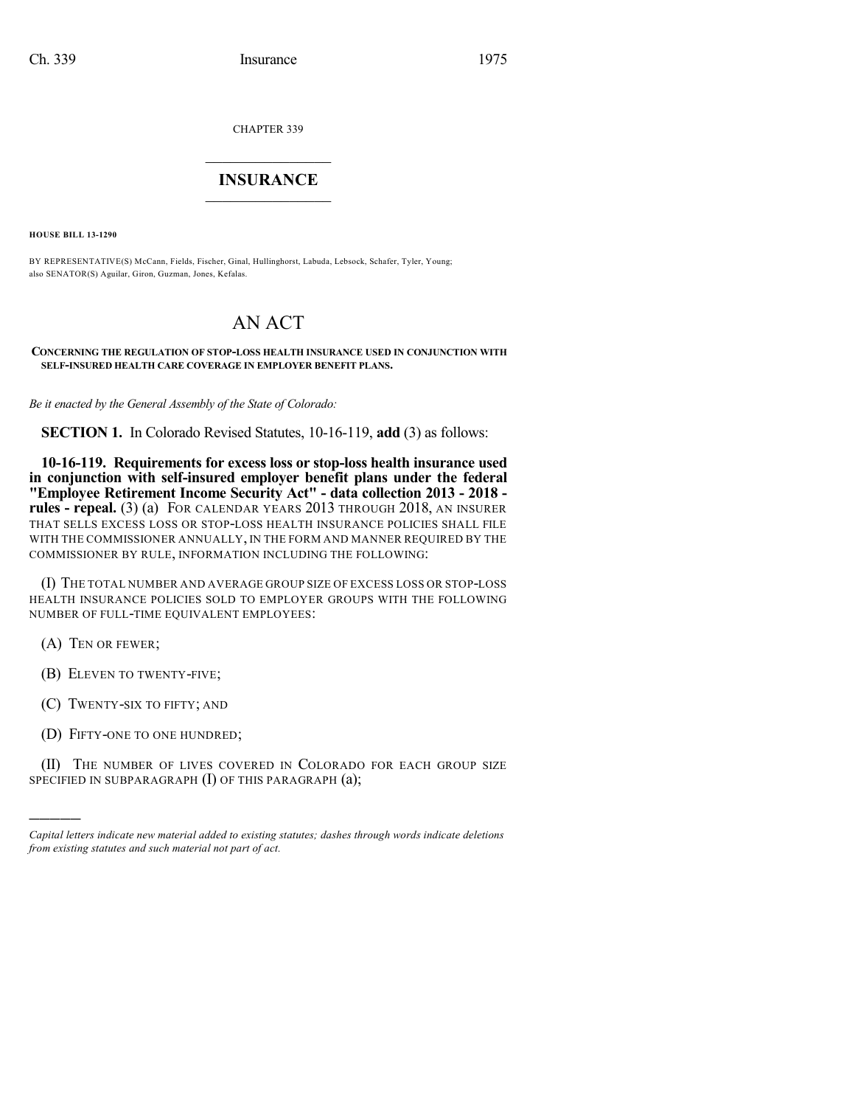CHAPTER 339

## $\mathcal{L}_\text{max}$  . The set of the set of the set of the set of the set of the set of the set of the set of the set of the set of the set of the set of the set of the set of the set of the set of the set of the set of the set **INSURANCE**  $\frac{1}{2}$  ,  $\frac{1}{2}$  ,  $\frac{1}{2}$  ,  $\frac{1}{2}$  ,  $\frac{1}{2}$  ,  $\frac{1}{2}$  ,  $\frac{1}{2}$

**HOUSE BILL 13-1290**

BY REPRESENTATIVE(S) McCann, Fields, Fischer, Ginal, Hullinghorst, Labuda, Lebsock, Schafer, Tyler, Young; also SENATOR(S) Aguilar, Giron, Guzman, Jones, Kefalas.

## AN ACT

## **CONCERNING THE REGULATION OF STOP-LOSS HEALTH INSURANCE USED IN CONJUNCTION WITH SELF-INSURED HEALTH CARE COVERAGE IN EMPLOYER BENEFIT PLANS.**

*Be it enacted by the General Assembly of the State of Colorado:*

**SECTION 1.** In Colorado Revised Statutes, 10-16-119, **add** (3) as follows:

**10-16-119. Requirements for excess loss or stop-loss health insurance used in conjunction with self-insured employer benefit plans under the federal "Employee Retirement Income Security Act" - data collection 2013 - 2018 rules - repeal.** (3) (a) FOR CALENDAR YEARS 2013 THROUGH 2018, AN INSURER THAT SELLS EXCESS LOSS OR STOP-LOSS HEALTH INSURANCE POLICIES SHALL FILE WITH THE COMMISSIONER ANNUALLY, IN THE FORM AND MANNER REQUIRED BY THE COMMISSIONER BY RULE, INFORMATION INCLUDING THE FOLLOWING:

(I) THE TOTAL NUMBER AND AVERAGE GROUP SIZE OF EXCESS LOSS OR STOP-LOSS HEALTH INSURANCE POLICIES SOLD TO EMPLOYER GROUPS WITH THE FOLLOWING NUMBER OF FULL-TIME EQUIVALENT EMPLOYEES:

(A) TEN OR FEWER;

)))))

(B) ELEVEN TO TWENTY-FIVE;

(C) TWENTY-SIX TO FIFTY; AND

(D) FIFTY-ONE TO ONE HUNDRED;

(II) THE NUMBER OF LIVES COVERED IN COLORADO FOR EACH GROUP SIZE SPECIFIED IN SUBPARAGRAPH (I) OF THIS PARAGRAPH (a);

*Capital letters indicate new material added to existing statutes; dashes through words indicate deletions from existing statutes and such material not part of act.*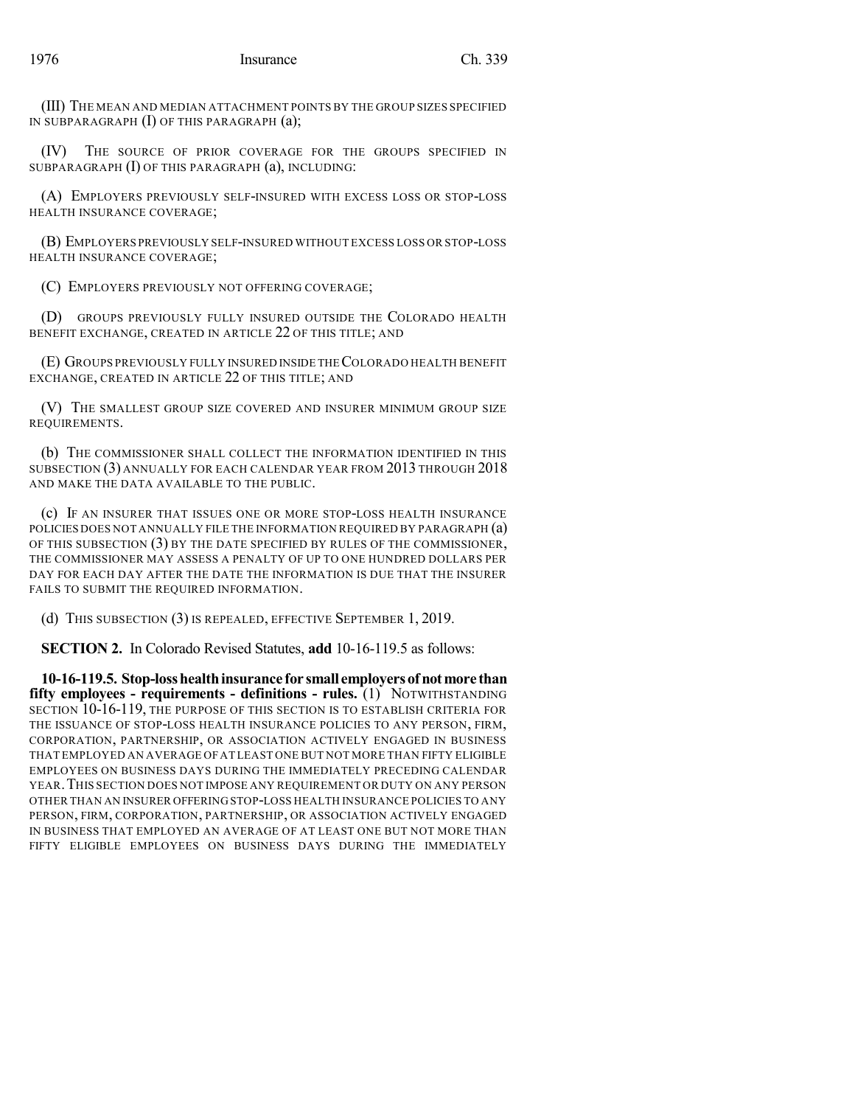(III) THE MEAN AND MEDIAN ATTACHMENT POINTS BY THE GROUP SIZES SPECIFIED IN SUBPARAGRAPH (I) OF THIS PARAGRAPH (a);

(IV) THE SOURCE OF PRIOR COVERAGE FOR THE GROUPS SPECIFIED IN SUBPARAGRAPH (I) OF THIS PARAGRAPH (a), INCLUDING:

(A) EMPLOYERS PREVIOUSLY SELF-INSURED WITH EXCESS LOSS OR STOP-LOSS HEALTH INSURANCE COVERAGE;

(B) EMPLOYERS PREVIOUSLY SELF-INSURED WITHOUT EXCESS LOSS OR STOP-LOSS HEALTH INSURANCE COVERAGE;

(C) EMPLOYERS PREVIOUSLY NOT OFFERING COVERAGE;

(D) GROUPS PREVIOUSLY FULLY INSURED OUTSIDE THE COLORADO HEALTH BENEFIT EXCHANGE, CREATED IN ARTICLE 22 OF THIS TITLE; AND

(E) GROUPS PREVIOUSLY FULLY INSURED INSIDE THECOLORADO HEALTH BENEFIT EXCHANGE, CREATED IN ARTICLE 22 OF THIS TITLE; AND

(V) THE SMALLEST GROUP SIZE COVERED AND INSURER MINIMUM GROUP SIZE REQUIREMENTS.

(b) THE COMMISSIONER SHALL COLLECT THE INFORMATION IDENTIFIED IN THIS SUBSECTION (3) ANNUALLY FOR EACH CALENDAR YEAR FROM 2013 THROUGH 2018 AND MAKE THE DATA AVAILABLE TO THE PUBLIC.

(c) IF AN INSURER THAT ISSUES ONE OR MORE STOP-LOSS HEALTH INSURANCE POLICIES DOES NOT ANNUALLY FILE THE INFORMATION REQUIRED BY PARAGRAPH (a) OF THIS SUBSECTION (3) BY THE DATE SPECIFIED BY RULES OF THE COMMISSIONER, THE COMMISSIONER MAY ASSESS A PENALTY OF UP TO ONE HUNDRED DOLLARS PER DAY FOR EACH DAY AFTER THE DATE THE INFORMATION IS DUE THAT THE INSURER FAILS TO SUBMIT THE REQUIRED INFORMATION.

(d) THIS SUBSECTION (3) IS REPEALED, EFFECTIVE SEPTEMBER 1, 2019.

**SECTION 2.** In Colorado Revised Statutes, **add** 10-16-119.5 as follows:

**10-16-119.5. Stop-losshealthinsurance for small employersofnotmore than fifty employees - requirements - definitions - rules.** (1) NOTWITHSTANDING SECTION 10-16-119, THE PURPOSE OF THIS SECTION IS TO ESTABLISH CRITERIA FOR THE ISSUANCE OF STOP-LOSS HEALTH INSURANCE POLICIES TO ANY PERSON, FIRM, CORPORATION, PARTNERSHIP, OR ASSOCIATION ACTIVELY ENGAGED IN BUSINESS THAT EMPLOYED AN AVERAGE OF AT LEAST ONE BUT NOT MORE THAN FIFTY ELIGIBLE EMPLOYEES ON BUSINESS DAYS DURING THE IMMEDIATELY PRECEDING CALENDAR YEAR.THIS SECTION DOES NOT IMPOSE ANY REQUIREMENT OR DUTY ON ANY PERSON OTHER THAN AN INSURER OFFERING STOP-LOSS HEALTH INSURANCE POLICIES TO ANY PERSON, FIRM, CORPORATION, PARTNERSHIP, OR ASSOCIATION ACTIVELY ENGAGED IN BUSINESS THAT EMPLOYED AN AVERAGE OF AT LEAST ONE BUT NOT MORE THAN FIFTY ELIGIBLE EMPLOYEES ON BUSINESS DAYS DURING THE IMMEDIATELY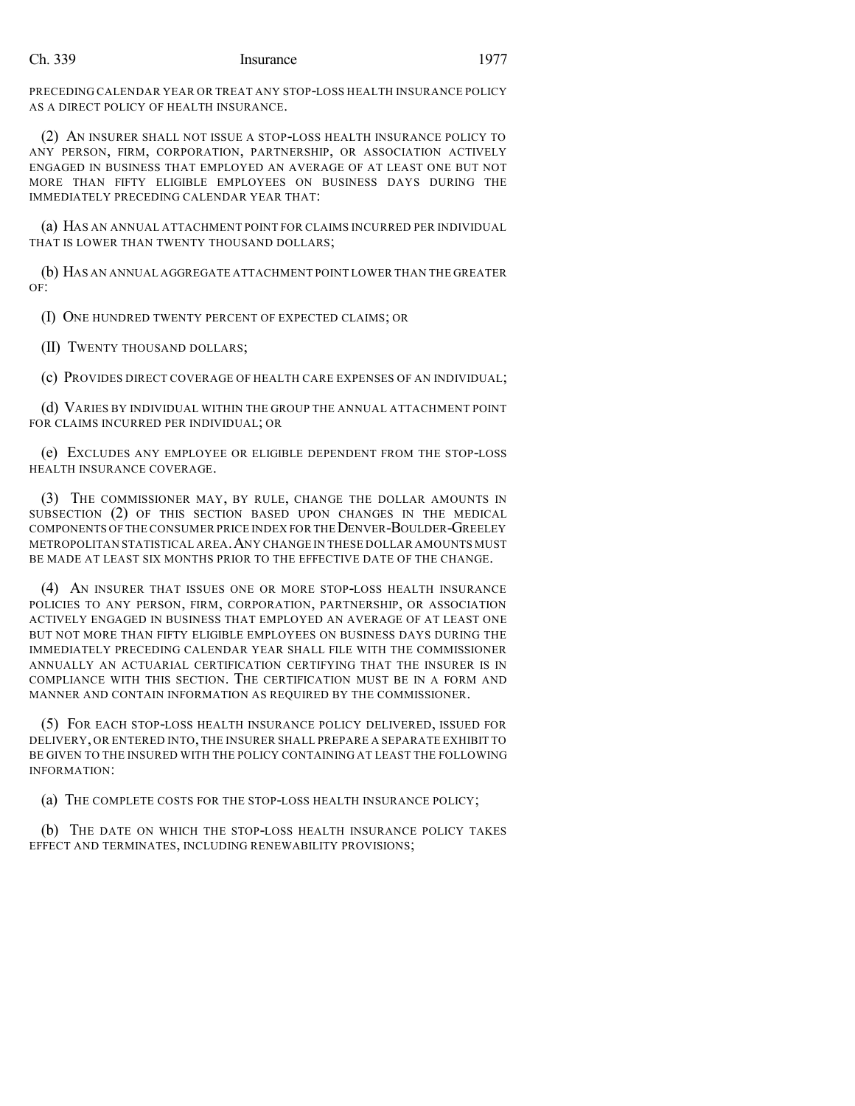## Ch. 339 Insurance 1977

PRECEDING CALENDAR YEAR OR TREAT ANY STOP-LOSS HEALTH INSURANCE POLICY AS A DIRECT POLICY OF HEALTH INSURANCE.

(2) AN INSURER SHALL NOT ISSUE A STOP-LOSS HEALTH INSURANCE POLICY TO ANY PERSON, FIRM, CORPORATION, PARTNERSHIP, OR ASSOCIATION ACTIVELY ENGAGED IN BUSINESS THAT EMPLOYED AN AVERAGE OF AT LEAST ONE BUT NOT MORE THAN FIFTY ELIGIBLE EMPLOYEES ON BUSINESS DAYS DURING THE IMMEDIATELY PRECEDING CALENDAR YEAR THAT:

(a) HAS AN ANNUAL ATTACHMENT POINT FOR CLAIMS INCURRED PER INDIVIDUAL THAT IS LOWER THAN TWENTY THOUSAND DOLLARS;

(b) HAS AN ANNUAL AGGREGATE ATTACHMENT POINT LOWER THAN THE GREATER OF:

(I) ONE HUNDRED TWENTY PERCENT OF EXPECTED CLAIMS; OR

(II) TWENTY THOUSAND DOLLARS;

(c) PROVIDES DIRECT COVERAGE OF HEALTH CARE EXPENSES OF AN INDIVIDUAL;

(d) VARIES BY INDIVIDUAL WITHIN THE GROUP THE ANNUAL ATTACHMENT POINT FOR CLAIMS INCURRED PER INDIVIDUAL; OR

(e) EXCLUDES ANY EMPLOYEE OR ELIGIBLE DEPENDENT FROM THE STOP-LOSS HEALTH INSURANCE COVERAGE.

(3) THE COMMISSIONER MAY, BY RULE, CHANGE THE DOLLAR AMOUNTS IN SUBSECTION (2) OF THIS SECTION BASED UPON CHANGES IN THE MEDICAL COMPONENTS OF THE CONSUMER PRICE INDEX FOR THE DENVER-BOULDER-GREELEY METROPOLITAN STATISTICAL AREA.ANY CHANGE IN THESE DOLLAR AMOUNTS MUST BE MADE AT LEAST SIX MONTHS PRIOR TO THE EFFECTIVE DATE OF THE CHANGE.

(4) AN INSURER THAT ISSUES ONE OR MORE STOP-LOSS HEALTH INSURANCE POLICIES TO ANY PERSON, FIRM, CORPORATION, PARTNERSHIP, OR ASSOCIATION ACTIVELY ENGAGED IN BUSINESS THAT EMPLOYED AN AVERAGE OF AT LEAST ONE BUT NOT MORE THAN FIFTY ELIGIBLE EMPLOYEES ON BUSINESS DAYS DURING THE IMMEDIATELY PRECEDING CALENDAR YEAR SHALL FILE WITH THE COMMISSIONER ANNUALLY AN ACTUARIAL CERTIFICATION CERTIFYING THAT THE INSURER IS IN COMPLIANCE WITH THIS SECTION. THE CERTIFICATION MUST BE IN A FORM AND MANNER AND CONTAIN INFORMATION AS REQUIRED BY THE COMMISSIONER.

(5) FOR EACH STOP-LOSS HEALTH INSURANCE POLICY DELIVERED, ISSUED FOR DELIVERY, OR ENTERED INTO, THE INSURER SHALL PREPARE A SEPARATE EXHIBIT TO BE GIVEN TO THE INSURED WITH THE POLICY CONTAINING AT LEAST THE FOLLOWING INFORMATION:

(a) THE COMPLETE COSTS FOR THE STOP-LOSS HEALTH INSURANCE POLICY;

(b) THE DATE ON WHICH THE STOP-LOSS HEALTH INSURANCE POLICY TAKES EFFECT AND TERMINATES, INCLUDING RENEWABILITY PROVISIONS;